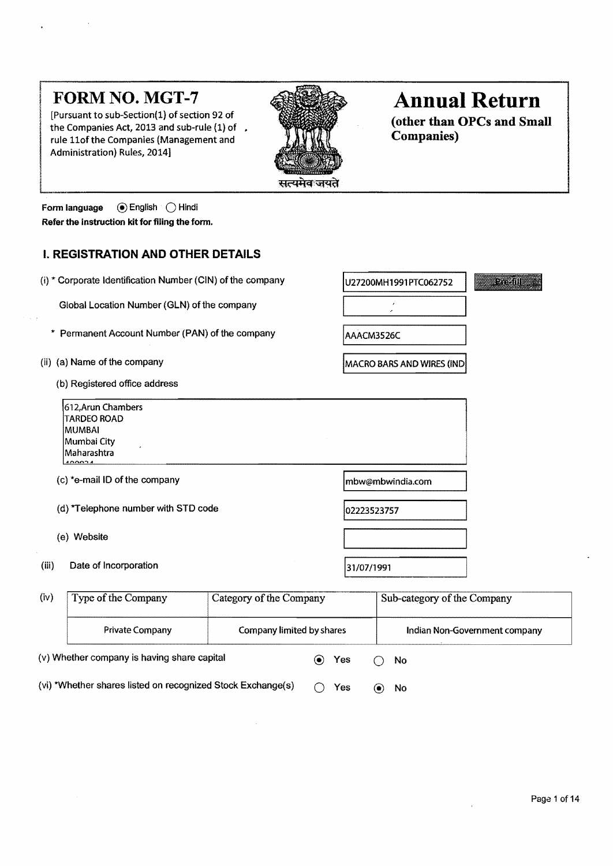$\begin{array}{l} \text{Fursuant to sub-section(1) or section 92 or} \\ \text{the Companies Act, 2013 and sub-rule (1) of } \\ \text{rule 1006} \end{array}$  (other than OPCs and Small Companies) rule 11of the Companies (Management and Administration) Rules, 2014]



# **FORM NO. MGT-7 Annual Return Annual Return**

 $=$   $\frac{1}{2}$ 

IU27200MH1991 PTC062752

**MACRO BARS AND WIRES (IND** 

AAACM3526C

Form language (a) English ( Hindi Refer the instruction kit for filing the form.

# I. REGISTRATION AND OTHER DETAILS

|  |  |  |  | (i) $*$ Corporate Identification Number (CIN) of the company |
|--|--|--|--|--------------------------------------------------------------|
|--|--|--|--|--------------------------------------------------------------|

Global Location Number (GLN) of the company

- \* Permanent Account Number (PAN) of the company
- (ii) (a) Name of the company
	- (b) Registered office address

| 1612, Arun Chambers<br><b>TARDEO ROAD</b><br>IMUMBAI<br> Mumbai City<br>Maharashtra<br>$\lambda$ |                   |
|--------------------------------------------------------------------------------------------------|-------------------|
| (c) *e-mail ID of the company                                                                    | lmbw@mbwindia.com |
| (d) *Telephone number with STD code                                                              | 102223523757      |
| (e) Website                                                                                      |                   |
| (iii)<br>Date of Incorporation                                                                   | 31/07/1991        |
|                                                                                                  |                   |

| (iv)                                                        | Type of the Company                         | Category of the Company   |           | Sub-category of the Company   |
|-------------------------------------------------------------|---------------------------------------------|---------------------------|-----------|-------------------------------|
|                                                             | <b>Private Company</b>                      | Company limited by shares |           | Indian Non-Government company |
|                                                             | (v) Whether company is having share capital |                           | Yes       | No                            |
| (vi) *Whether shares listed on recognized Stock Exchange(s) |                                             | Yes                       | No<br>(●) |                               |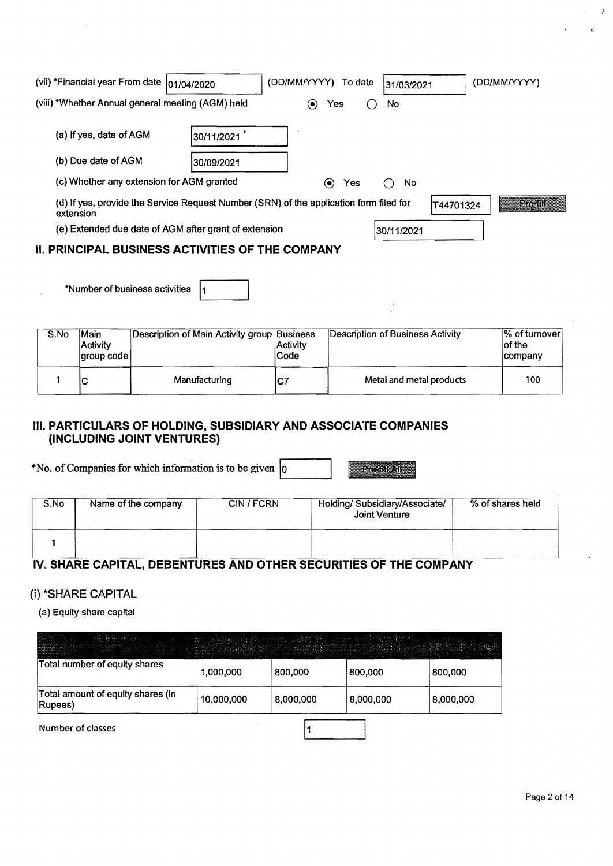| (vii) *Financial year From date  01/04/2020                                                         |             | (DD/MM/YYYY) To date            |     | 31/03/2021 |           | (DD/MM/YYYY) |  |
|-----------------------------------------------------------------------------------------------------|-------------|---------------------------------|-----|------------|-----------|--------------|--|
| (viii) *Whether Annual general meeting (AGM) held                                                   |             | Yes<br>$\left( \bullet \right)$ |     | No         |           |              |  |
| (a) If yes, date of AGM                                                                             | 30/11/2021  |                                 |     |            |           |              |  |
| (b) Due date of AGM                                                                                 | 130/09/2021 |                                 |     |            |           |              |  |
| (c) Whether any extension for AGM granted                                                           |             | $\left( \bullet \right)$        | Yes | No.        |           |              |  |
| (d) If yes, provide the Service Request Number (SRN) of the application form filed for<br>extension |             |                                 |     |            | T44701324 | $27 - 01$    |  |
| (e) Extended due date of AGM after grant of extension                                               |             |                                 |     | 30/11/2021 |           |              |  |
| <b>II. PRINCIPAL BUSINESS ACTIVITIES OF THE COMPANY</b>                                             |             |                                 |     |            |           |              |  |

\*Number of business activities  $|_1$ 

| S.No | Main<br>Activity<br>aroup code | Description of Main Activity group Business | <b>Activity</b><br>Code | Description of Business Activity | $\frac{1}{6}$ of tumover<br>of the<br>company |
|------|--------------------------------|---------------------------------------------|-------------------------|----------------------------------|-----------------------------------------------|
|      | v                              | Manufacturing                               | IC7                     | Metal and metal products         | 100                                           |

### **III. PARTICULARS OF HOLDING, SUBSIDIARY AND ASSOCIATE COMPANIES (INCLUDING JOINT VENTURES)**

\*No. of Companies for which information is to be given  $\vert_0$ **Pre-fill All** 

| S.No | Name of the company | CIN/FCRN | Holding/Subsidiary/Associate/<br>Joint Venture | % of shares held |
|------|---------------------|----------|------------------------------------------------|------------------|
|      |                     |          |                                                |                  |

# IV. **SHARE CAPITAL, DEBENTURES AND OTHER SECURITIES OF THE COMPANY**

### (i) \*SHARE CAPITAL

(a) Equity share capital

| <b>HILLS AND REPORTS</b>                     | ear I undskipperaat Am<br>in a guidhean ainm a ainm an<br>الطعود المتعاليهم المتضاد المتحدث المرادا المتحال والمستقطع والمستحدث والمتحدث والمتحدث والمستحدث المتحالة والمحالة | ing finansalimi el liv | - Lundi Hara Marin<br>n for a company of providers and company<br>and and the company of the space of the first state of |           |
|----------------------------------------------|-------------------------------------------------------------------------------------------------------------------------------------------------------------------------------|------------------------|--------------------------------------------------------------------------------------------------------------------------|-----------|
| Total number of equity shares                | 1,000,000                                                                                                                                                                     | 800,000                | 800,000                                                                                                                  | 800,000   |
| Total amount of equity shares (in<br>Rupees) | 10,000,000                                                                                                                                                                    | 8,000,000              | 8,000,000                                                                                                                | 8,000,000 |

 $\mathbf{1}$ 

Number of classes

Ä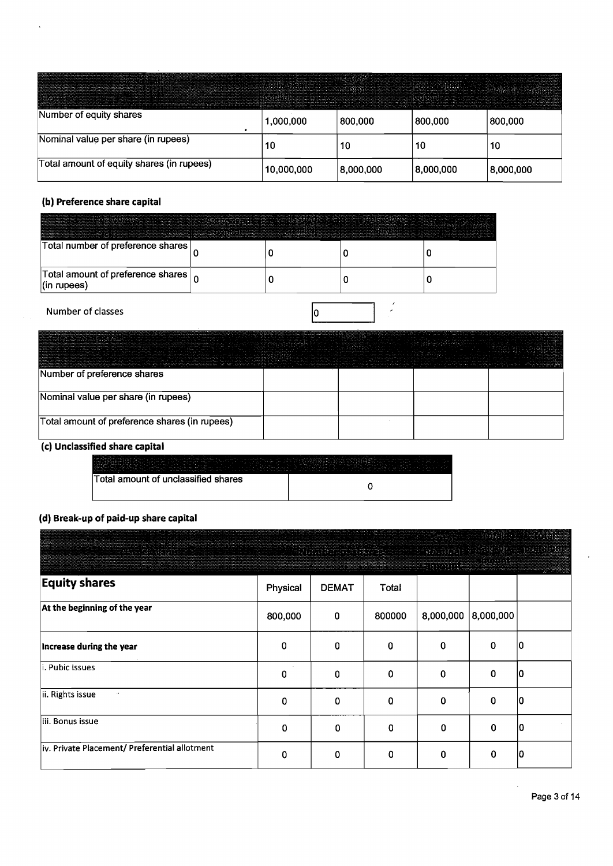| Automatical on marina and an experience and contract the contract of the contract of the contract of the contract of the contract of the contract of the contract of the contract of the contract of the contract of the contr<br><b>Committee in commence involvement commences in construction of component the controlled and constitution and construction of the commitment of controlled and constitution of the commitment of the commitment of the constru</b> |            | parties in the complete contractive of the complete of the complete the complete constitution of the three contracts of the complete of the complete of the complete of the complete of the complete of the complete of the co |           |           |
|------------------------------------------------------------------------------------------------------------------------------------------------------------------------------------------------------------------------------------------------------------------------------------------------------------------------------------------------------------------------------------------------------------------------------------------------------------------------|------------|--------------------------------------------------------------------------------------------------------------------------------------------------------------------------------------------------------------------------------|-----------|-----------|
| Number of equity shares                                                                                                                                                                                                                                                                                                                                                                                                                                                | 1,000,000  | 800,000                                                                                                                                                                                                                        | 800,000   | 800,000   |
| Nominal value per share (in rupees)                                                                                                                                                                                                                                                                                                                                                                                                                                    | 10         | 10                                                                                                                                                                                                                             | 10        | 10        |
| Total amount of equity shares (in rupees)                                                                                                                                                                                                                                                                                                                                                                                                                              | 10,000,000 | 8,000,000                                                                                                                                                                                                                      | 8,000,000 | 8,000,000 |

# **(b) Preference share capital**

l,

| - STERN FRED FREED ATTENDADE SERVICES SERVICES SERVICES SERVICES SERVICES SERVICES SERVICES SERVICES SERVICES SERVICES SERVICES SERVICES SERVICES SERVICES SERVICES SERVICES SERVICES SERVICES SERVICES SERVICES SERVICES SERV<br>and the contract of the contract of the contract of the contract of the contract of the contract of the contract of the contract of the contract of the contract of the contract of the contract of the contract of the contra<br>approximate contractive description of the contract of the contract of the contract of the contract of the contract of the contract of the contract of the contract of the contract of the contract of the contract of the con<br>about the contract of the contract of the contract of the contract of the contract of the contract of the contract of the contract of the contract of the contract of the contract of the contract of the contract of the cont<br>of change and contained to the followith comparative considers and the state of the state of the state of the state of the state of the state of the state of the state of the state of the state of the state of the state of<br>a dinternational del controllero controllero del ferro del controllero del ferro del controllero del controllero de la controllera del controllero<br>$\sim$ . The contract contract of the contract of the contract of the statistics of the contract of the contract of the contract of the contract of the contract of the contract of the contract of the contract of the contrac | considerably and of a State of a discussions, on contraction in considerably approaching and considerably and | the distance of the deal of the field of the construction of the construction of<br>THE RESIDENCE COMPUTER ANNUAL AND THE RESIDENCE OF THE RESIDENCE OF THE RESIDENCE OF THE RESIDENCE OF THE RESIDENCE OF THE RESIDENCE OF THE RESIDENCE OF THE RESIDENCE OF THE RESIDENCE OF THE RESIDENCE OF THE RESIDENCE OF T | conservation of the company of the set of the contract of the set of the set of the set of the set of the set of the set of the set of the | tradescents through the company control of the company's application of the company of the company of the company of the company of the company of the company of the company of the company of the company of the company of |
|-----------------------------------------------------------------------------------------------------------------------------------------------------------------------------------------------------------------------------------------------------------------------------------------------------------------------------------------------------------------------------------------------------------------------------------------------------------------------------------------------------------------------------------------------------------------------------------------------------------------------------------------------------------------------------------------------------------------------------------------------------------------------------------------------------------------------------------------------------------------------------------------------------------------------------------------------------------------------------------------------------------------------------------------------------------------------------------------------------------------------------------------------------------------------------------------------------------------------------------------------------------------------------------------------------------------------------------------------------------------------------------------------------------------------------------------------------------------------------------------------------------------------------------------------------------------|---------------------------------------------------------------------------------------------------------------|--------------------------------------------------------------------------------------------------------------------------------------------------------------------------------------------------------------------------------------------------------------------------------------------------------------------|--------------------------------------------------------------------------------------------------------------------------------------------|-------------------------------------------------------------------------------------------------------------------------------------------------------------------------------------------------------------------------------|
| Total number of preference shares                                                                                                                                                                                                                                                                                                                                                                                                                                                                                                                                                                                                                                                                                                                                                                                                                                                                                                                                                                                                                                                                                                                                                                                                                                                                                                                                                                                                                                                                                                                               |                                                                                                               |                                                                                                                                                                                                                                                                                                                    |                                                                                                                                            |                                                                                                                                                                                                                               |
| Total amount of preference shares $\vert_0$<br>$ $ (in rupees)                                                                                                                                                                                                                                                                                                                                                                                                                                                                                                                                                                                                                                                                                                                                                                                                                                                                                                                                                                                                                                                                                                                                                                                                                                                                                                                                                                                                                                                                                                  |                                                                                                               |                                                                                                                                                                                                                                                                                                                    |                                                                                                                                            |                                                                                                                                                                                                                               |
| Number of classes                                                                                                                                                                                                                                                                                                                                                                                                                                                                                                                                                                                                                                                                                                                                                                                                                                                                                                                                                                                                                                                                                                                                                                                                                                                                                                                                                                                                                                                                                                                                               |                                                                                                               |                                                                                                                                                                                                                                                                                                                    |                                                                                                                                            |                                                                                                                                                                                                                               |

|                                               | The continuous company of the company of the company of the company of the company of the company of the company of the company of the company of the company of the company of the company of the company of the company of t<br>and the manufacturer of the common | the property of the control and the<br>ma sanar taoine a sua sua<br> | the product of the control of the participants of the control of the control of the control of the control of the control of the control of the control of the control of the control of the control of the control of the con<br>the common contraction when he had to give the confidence<br>Total and construction<br>.<br>_____________________ |  |
|-----------------------------------------------|----------------------------------------------------------------------------------------------------------------------------------------------------------------------------------------------------------------------------------------------------------------------|----------------------------------------------------------------------|-----------------------------------------------------------------------------------------------------------------------------------------------------------------------------------------------------------------------------------------------------------------------------------------------------------------------------------------------------|--|
| Number of preference shares                   |                                                                                                                                                                                                                                                                      |                                                                      |                                                                                                                                                                                                                                                                                                                                                     |  |
| Nominal value per share (in rupees)           |                                                                                                                                                                                                                                                                      |                                                                      |                                                                                                                                                                                                                                                                                                                                                     |  |
| Total amount of preference shares (in rupees) |                                                                                                                                                                                                                                                                      |                                                                      |                                                                                                                                                                                                                                                                                                                                                     |  |

# (c) Unclassified share capital

| With the first continuous control of the control of the control of the control of the continuous control of the control of the control of the control of the control of the control of the control of the control of the contr<br>a mandatorial contraction of the contract of the contract of the contract of the contract of the contract of the contract of the contract of the contract of the contract of the contract of the contract of the contract of t<br>A MATA LA CONSTRUITO A CONSTRUITO DE CONSTRUITO DE LA CONSTRUITO DE LA CONSTRUITO DE LA CONSTRUITO DE LA CONST<br>a barrier and the component of the component of the component of the component of the component of the component of the component of the component of the component of the component of the component of the component of the<br>announcement of the communication of the contract of the communication of the communication of the communication of the communication of the communication of the communication of the communication of the communication of t<br>and manipulation of the contract of the contract of the contract of the contract of the contract of the contract of the contract of the contract of the contract of the contract of the contract of the contract of the contra<br><b>ROBERT DESCRIPTION OF REPORT OF REPORT OF PERSONAL COMPANY OF REAL CONSTRUCTION</b> AND RESIDENCE OF REAL PROPERTY OF REAL PROPERTY OF REAL PROPERTY OF REAL PROPERTY OF REAL PROPERTY OF REAL PROPERTY OF REAL PROPERTY OF REAL |  |
|--------------------------------------------------------------------------------------------------------------------------------------------------------------------------------------------------------------------------------------------------------------------------------------------------------------------------------------------------------------------------------------------------------------------------------------------------------------------------------------------------------------------------------------------------------------------------------------------------------------------------------------------------------------------------------------------------------------------------------------------------------------------------------------------------------------------------------------------------------------------------------------------------------------------------------------------------------------------------------------------------------------------------------------------------------------------------------------------------------------------------------------------------------------------------------------------------------------------------------------------------------------------------------------------------------------------------------------------------------------------------------------------------------------------------------------------------------------------------------------------------------------------------------|--|
| Total amount of unclassified shares                                                                                                                                                                                                                                                                                                                                                                                                                                                                                                                                                                                                                                                                                                                                                                                                                                                                                                                                                                                                                                                                                                                                                                                                                                                                                                                                                                                                                                                                                            |  |

#### (d) Break-up of paid-up share capital

| $\sim$ 100 m $\sim$ 100 m $\sim$ 100 m $\sim$ 100 m $\sim$ 100 m $\sim$ 100 m $\sim$ 100 m $\sim$ 100 m $\sim$ 100 m $\sim$ |          |              | $\label{eq:2.1} \frac{1}{2}\left(\frac{1}{2}\left(\frac{1}{2}\right)^2\right)^2\left(\frac{1}{2}\left(\frac{1}{2}\right)^2\right)^2\left(\frac{1}{2}\left(\frac{1}{2}\right)^2\right)^2\left(\frac{1}{2}\left(\frac{1}{2}\right)^2\right)^2\left(\frac{1}{2}\left(\frac{1}{2}\right)^2\right)^2\left(\frac{1}{2}\right)^2\left(\frac{1}{2}\right)^2\left(\frac{1}{2}\right)^2\left(\frac{1}{2}\right)^2\left(\frac{1}{2}\right)^2\left(\frac{1}{2}\right)^2\left(\frac{1}{2}\right)^2\$ |           |         |    |
|-----------------------------------------------------------------------------------------------------------------------------|----------|--------------|-----------------------------------------------------------------------------------------------------------------------------------------------------------------------------------------------------------------------------------------------------------------------------------------------------------------------------------------------------------------------------------------------------------------------------------------------------------------------------------------|-----------|---------|----|
| <b>Equity shares</b>                                                                                                        | Physical | <b>DEMAT</b> | Total                                                                                                                                                                                                                                                                                                                                                                                                                                                                                   |           |         |    |
| At the beginning of the year                                                                                                | 800,000  | 0            | 800000                                                                                                                                                                                                                                                                                                                                                                                                                                                                                  | 8,000,000 | 000,000 |    |
| Increase during the year                                                                                                    | 0        | $\mathbf{0}$ | 0                                                                                                                                                                                                                                                                                                                                                                                                                                                                                       | 0         | 0       | 10 |
| i. Pubic Issues                                                                                                             | 0        | 0            | 0                                                                                                                                                                                                                                                                                                                                                                                                                                                                                       | 0         | 0       | 10 |
| ii. Rights issue                                                                                                            | 0        | 0            | 0                                                                                                                                                                                                                                                                                                                                                                                                                                                                                       | 0         | 0       | 10 |
| liii. Bonus issue                                                                                                           | 0        | 0            | 0                                                                                                                                                                                                                                                                                                                                                                                                                                                                                       | 0         | 0       | IO |
| iv. Private Placement/ Preferential allotment                                                                               | 0        | 0            | 0                                                                                                                                                                                                                                                                                                                                                                                                                                                                                       | 0         | 0       | ю  |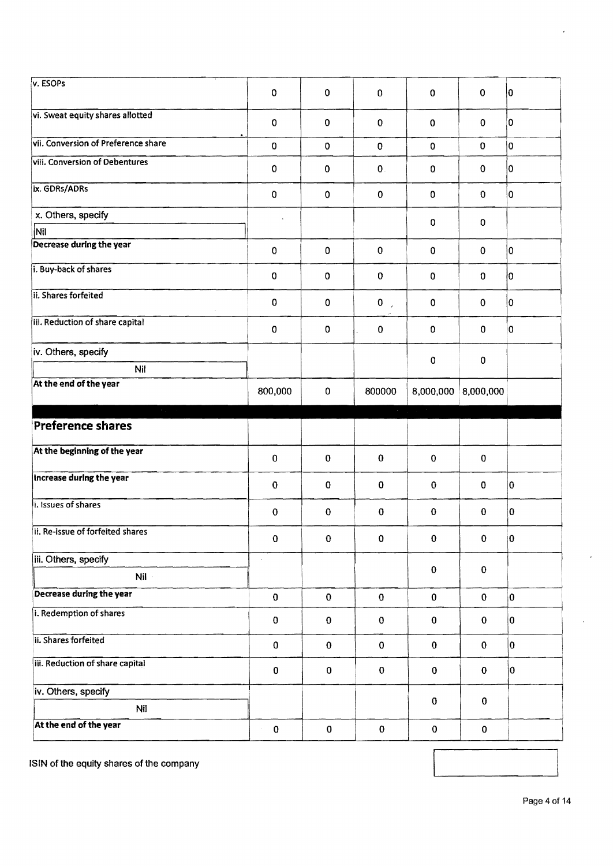| v. ESOPs                               | $\mathbf 0$             | 0            | $\pmb{0}$              | $\mathbf 0$ | $\mathbf 0$  | $ 0\rangle$             |
|----------------------------------------|-------------------------|--------------|------------------------|-------------|--------------|-------------------------|
| vi. Sweat equity shares allotted       | 0                       | 0            | $\mathbf 0$            | $\mathbf 0$ | $\mathbf 0$  | 0                       |
| vii. Conversion of Preference share    | 0                       | $\mathbf 0$  | $\pmb{0}$              | $\mathbf 0$ | $\mathbf 0$  | 0                       |
| viii. Conversion of Debentures         | 0                       | 0            | $\mathbf 0$            | $\mathbf 0$ | $\mathbf 0$  | 0                       |
| ix. GDRs/ADRs                          | $\mathbf 0$             | 0            | $\mathbf 0$            | $\mathbf 0$ | $\Omega$     | 0                       |
| x. Others, specify                     |                         |              |                        | 0           | $\pmb{0}$    |                         |
| Nil                                    |                         |              |                        |             |              |                         |
| Decrease during the year               | 0                       | $\mathbf 0$  | $\pmb{0}$              | $\mathbf 0$ | $\mathbf 0$  | $\overline{0}$          |
| i. Buy-back of shares                  | $\mathbf 0$             | 0            | $\pmb{0}$              | $\mathbf 0$ | $\Omega$     | lо                      |
| ii. Shares forfeited                   | $\mathbf 0$             | $\pmb{0}$    | $\pmb{0}$<br>$\lambda$ | 0           | $\mathbf 0$  | 0                       |
| iii. Reduction of share capital        | $\pmb{0}$               | $\mathbf 0$  | 0                      | $\mathbf 0$ | $\mathbf 0$  | 0                       |
| iv. Others, specify<br>Nil             |                         |              |                        | 0           | $\pmb{0}$    |                         |
| At the end of the year                 |                         |              |                        |             |              |                         |
|                                        | 800,000                 | $\mathbf 0$  | 800000                 | 8,000,000   | 8,000,000    |                         |
| $\mathcal{F}_{\rm{max}}$ .             |                         |              |                        |             |              |                         |
| <b>Preference shares</b>               |                         |              | $\epsilon$             |             |              |                         |
| At the beginning of the year           | $\pmb{0}$               | $\pmb{0}$    | $\bf{0}$               | $\mathbf 0$ | $\mathbf 0$  |                         |
| Increase during the year               | $\bf{0}$                | $\bf{0}$     | $\mathbf 0$            | 0           | $\bf{0}$     | O                       |
| i. Issues of shares                    | $\mathbf 0$             | $\bf{0}$     | $\bf{0}$               | $\bf{0}$    | $\bf{0}$     | 0                       |
| ii. Re-issue of forfeited shares       | $\mathbf 0$             | $\pmb{0}$    | $\pmb{0}$              | $\pmb{0}$   | $\mathbf{0}$ | $\vert 0 \vert$         |
| iii. Others, specify                   | $\epsilon$              |              |                        |             |              |                         |
| $Nil -$                                |                         |              |                        | $\bf{0}$    | $\bf{0}$     |                         |
| Decrease during the year               | $\bf{0}$                | $\mathbf 0$  | $\mathbf{0}$           | $\bf{0}$    | $\mathbf{0}$ | $\overline{\mathbf{0}}$ |
| i. Redemption of shares                | $\mathbf 0$             | $\bf{0}$     | $\mathbf 0$            | $\pmb{0}$   | $\bf{0}$     | 10                      |
| ii. Shares forfeited                   | $\bf{0}$                | $\bf{0}$     | $\bf{0}$               | $\pmb{0}$   | $\mathbf 0$  | 0                       |
| <b>III.</b> Reduction of share capital | $\pmb{0}$               | $\mathbf{O}$ | $\pmb{0}$              | ${\bf 0}$   | $\mathbf 0$  | 0                       |
| iv. Others, specify                    |                         |              |                        |             |              |                         |
| <b>Nil</b>                             |                         |              |                        | $\pmb{0}$   | $\bf{0}$     |                         |
| At the end of the year                 | $\pmb{0}$<br>$\epsilon$ | $\mathbf 0$  | $\bf{0}$               | $\pmb{0}$   | $\pmb{0}$    |                         |

ISIN of the equity shares of the company

 $\overline{a}$ 

 $\overline{a}$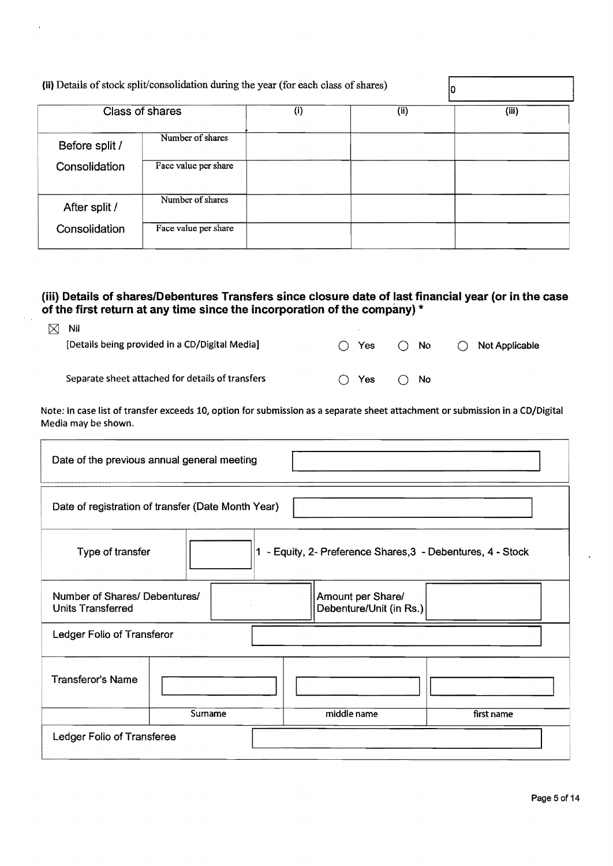|                | Class of shares      | (i) | (ii) | (iii) |
|----------------|----------------------|-----|------|-------|
| Before split / | Number of shares     |     |      |       |
| Consolidation  | Face value per share |     |      |       |
| After split /  | Number of shares     |     |      |       |
| Consolidation  | Face value per share |     |      |       |

### **(iii) Details of shares/Debentures Transfers since closure date of last financial year (or in the case of the first return at any time since the incorporation of the company)** \*

| $\boxtimes$ Nil                                  |                            |              |                           |
|--------------------------------------------------|----------------------------|--------------|---------------------------|
| [Details being provided in a CD/Digital Media]   | $\bigcap$ Yes              | $\bigcap$ No | $\bigcirc$ Not Applicable |
|                                                  |                            |              |                           |
|                                                  |                            |              |                           |
| Separate sheet attached for details of transfers | $\bigcap$ Yes $\bigcap$ No |              |                           |

Note: In case list of transfer exceeds 10, option for submission as a separate sheet attachment or submission in a CD/Digital Media may be shown.

|                                                                                 | Date of the previous annual general meeting        |  |                                              |            |  |  |  |
|---------------------------------------------------------------------------------|----------------------------------------------------|--|----------------------------------------------|------------|--|--|--|
|                                                                                 | Date of registration of transfer (Date Month Year) |  |                                              |            |  |  |  |
| 1 - Equity, 2- Preference Shares, 3 - Debentures, 4 - Stock<br>Type of transfer |                                                    |  |                                              |            |  |  |  |
| Number of Shares/ Debentures/<br><b>Units Transferred</b>                       |                                                    |  | Amount per Share/<br>Debenture/Unit (in Rs.) |            |  |  |  |
| Ledger Folio of Transferor                                                      |                                                    |  |                                              |            |  |  |  |
| <b>Transferor's Name</b>                                                        |                                                    |  |                                              |            |  |  |  |
|                                                                                 | Surname                                            |  | middle name                                  | first name |  |  |  |
| Ledger Folio of Transferee                                                      |                                                    |  |                                              |            |  |  |  |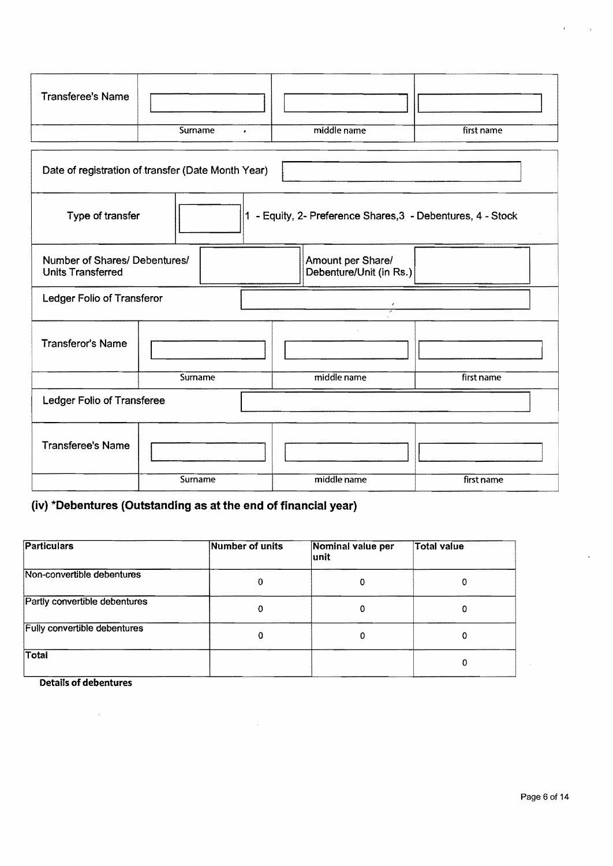| <b>Transferee's Name</b> |         |             |            |
|--------------------------|---------|-------------|------------|
|                          | Surname | middle name | first name |

| Date of registration of transfer (Date Month Year)                                                        |  |         |                                                           |            |  |  |  |
|-----------------------------------------------------------------------------------------------------------|--|---------|-----------------------------------------------------------|------------|--|--|--|
| Type of transfer<br>1                                                                                     |  |         | - Equity, 2- Preference Shares, 3 - Debentures, 4 - Stock |            |  |  |  |
| Number of Shares/ Debentures/<br>Amount per Share/<br><b>Units Transferred</b><br>Debenture/Unit (in Rs.) |  |         |                                                           |            |  |  |  |
| Ledger Folio of Transferor                                                                                |  |         |                                                           |            |  |  |  |
| <b>Transferor's Name</b>                                                                                  |  |         |                                                           |            |  |  |  |
|                                                                                                           |  | Surname | middle name                                               | first name |  |  |  |
| Ledger Folio of Transferee                                                                                |  |         |                                                           |            |  |  |  |
| <b>Transferee's Name</b>                                                                                  |  |         |                                                           |            |  |  |  |
|                                                                                                           |  | Surname | middle name                                               | first name |  |  |  |

# (iv) \*Debentures (Outstanding as at the end of financial year)

| Particulars                         | Number of units | Nominal value per<br>lunit | <b>Total value</b> |
|-------------------------------------|-----------------|----------------------------|--------------------|
| Non-convertible debentures          | O               | 0                          | 0                  |
| Partly convertible debentures       | 0               | Ω                          | 0                  |
| <b>Fully convertible debentures</b> | 0               | 0                          | 0                  |
| <b>Total</b>                        |                 |                            | 0                  |

 $\mathcal{A}$ 

Details of debentures

 $\sim 10^{-1}$ 

ï

 $\epsilon$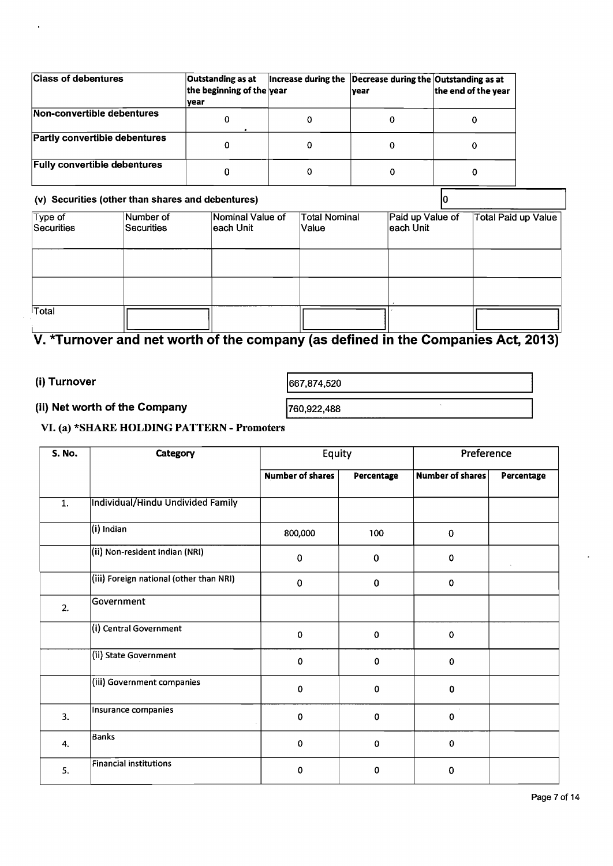| <b>Class of debentures</b>          | Outstanding as at<br>the beginning of the year<br> vear | Increase during the Decrease during the Outstanding as at<br><b>vear</b> | the end of the year |
|-------------------------------------|---------------------------------------------------------|--------------------------------------------------------------------------|---------------------|
| Non-convertible debentures          |                                                         |                                                                          | 0                   |
| Partly convertible debentures       | 0                                                       |                                                                          | Ω                   |
| <b>Fully convertible debentures</b> |                                                         |                                                                          | 0                   |

# (v) Securities (other than shares and debentures)  $\boxed{0}$

|                       | $\mathcal{L}_{\mathcal{L}}$ , where $\mathcal{L}_{\mathcal{L}}$ and $\mathcal{L}_{\mathcal{L}}$ are the contract dependence of |                               |                               |                               |                            |
|-----------------------|--------------------------------------------------------------------------------------------------------------------------------|-------------------------------|-------------------------------|-------------------------------|----------------------------|
| Type of<br>Securities | Number of<br>Securities                                                                                                        | Nominal Value of<br>each Unit | <b>Total Nominal</b><br>Value | Paid up Value of<br>each Unit | <b>Total Paid up Value</b> |
|                       |                                                                                                                                |                               |                               |                               |                            |
|                       |                                                                                                                                |                               |                               |                               |                            |
| Total                 |                                                                                                                                |                               |                               |                               |                            |

# V. \*Turnover and net worth of the company (as defined in the Companies Act, 2013)

# (i) Turnover  $\begin{array}{|c|c|c|c|c|}\hline \text{667,874,520}\hline \end{array}$

# (ii) Net worth of the Company  $\sqrt{760,922,488}$

# VI. (a) \*SHARE HOLDING PATTERN - Promoters

| <b>S. No.</b>    | Category                                | Equity                  |             | Preference              |            |  |
|------------------|-----------------------------------------|-------------------------|-------------|-------------------------|------------|--|
|                  |                                         | <b>Number of shares</b> | Percentage  | <b>Number of shares</b> | Percentage |  |
| $\overline{1}$ . | Individual/Hindu Undivided Family       |                         |             |                         |            |  |
|                  | (i) Indian                              | 800,000                 | 100         | $\mathbf 0$             |            |  |
|                  | (ii) Non-resident Indian (NRI)          | $\bf{0}$                | $\bf{0}$    | 0                       |            |  |
|                  | (iii) Foreign national (other than NRI) | $\pmb{0}$               | $\bf{0}$    | $\bf{0}$                |            |  |
| 2.               | Government                              |                         |             |                         |            |  |
|                  | (i) Central Government                  | $\pmb{0}$               | $\pmb{0}$   | 0                       |            |  |
|                  | (ii) State Government                   | $\mathbf 0$             | $\mathbf 0$ | $\mathbf{o}$            |            |  |
|                  | (iii) Government companies              | $\mathbf 0$             | $\mathbf 0$ | $\mathbf 0$             |            |  |
| 3.               | Insurance companies                     | 0                       | $\mathbf 0$ | $\mathbf 0$             |            |  |
| 4.               | <b>Banks</b>                            | $\pmb{0}$               | $\pmb{0}$   | 0                       |            |  |
| 5.               | <b>Financial institutions</b>           | 0                       | 0           | 0                       |            |  |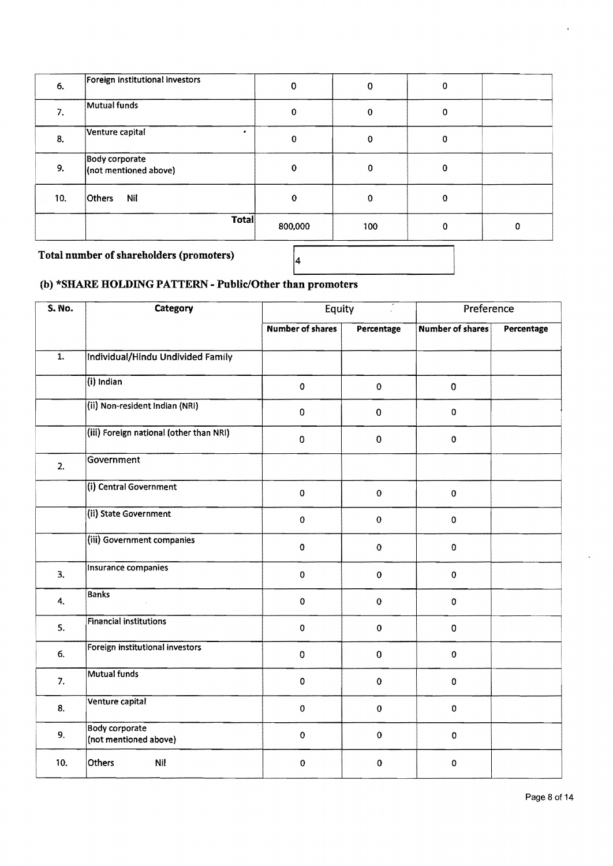| 6.                                       | Foreign institutional investors                | 0        | 0           | 0 |   |
|------------------------------------------|------------------------------------------------|----------|-------------|---|---|
| 7.                                       | Mutual funds                                   | 0        | 0           | 0 |   |
| 8.                                       | Venture capital                                | 0        | 0           | 0 |   |
| 9.                                       | <b>Body corporate</b><br>(not mentioned above) | 0        | 0           | 0 |   |
| 10.                                      | Nil<br><b>Others</b>                           | $\Omega$ | $\mathbf 0$ | 0 |   |
|                                          | Total                                          | 800,000  | 100         | Ω | Ω |
| Total number of shareholders (promoters) |                                                |          |             |   |   |

# (b) \*SHARE HOLDING PATTERN - Public/Other than promoters

| <b>S. No.</b>    | Category                                       | Equity                  |                    | Preference              |            |  |
|------------------|------------------------------------------------|-------------------------|--------------------|-------------------------|------------|--|
|                  |                                                | <b>Number of shares</b> | Percentage         | <b>Number of shares</b> | Percentage |  |
| $\overline{1}$ . | Individual/Hindu Undivided Family              |                         |                    |                         |            |  |
|                  | $(i)$ Indian                                   | $\mathbf 0$             | $\pmb{0}$          | $\pmb{0}$               |            |  |
|                  | (ii) Non-resident Indian (NRI)                 | $\mathbf 0$             | $\pmb{0}$          | $\pmb{0}$               |            |  |
|                  | (iii) Foreign national (other than NRI)        | $\mathbf 0$             | $\pmb{0}$          | $\mathbf 0$             |            |  |
| 2.               | Government                                     |                         |                    |                         |            |  |
|                  | (i) Central Government                         | $\pmb{0}$               | $\pmb{0}$          | $\pmb{0}$               |            |  |
|                  | (ii) State Government                          | $\mathbf 0$             | $\pmb{\mathsf{O}}$ | $\pmb{0}$               |            |  |
|                  | (iii) Government companies                     | $\mathbf 0$             | $\mathbf 0$        | $\pmb{0}$               |            |  |
| 3.               | Insurance companies                            | $\pmb{0}$               | $\mathbf 0$        | $\pmb{0}$               |            |  |
| 4.               | <b>Banks</b>                                   | $\mathbf 0$             | $\pmb{0}$          | 0                       |            |  |
| 5.               | <b>Financial institutions</b>                  | $\mathbf 0$             | $\pmb{0}$          | $\mathbf 0$             |            |  |
| 6.               | Foreign institutional investors                | $\mathbf 0$             | $\pmb{0}$          | $\mathbf 0$             |            |  |
| 7.               | <b>Mutual funds</b>                            | $\mathbf 0$             | $\mathbf 0$        | $\pmb{0}$               |            |  |
| 8.               | Venture capital                                | $\mathbf 0$             | $\pmb{0}$          | $\mathbf{O}$            |            |  |
| 9.               | <b>Body corporate</b><br>(not mentioned above) | $\mathbf 0$             | $\mathbf 0$        | 0                       |            |  |
| 10.              | Nil<br>Others                                  | $\mathbf 0$             | 0                  | 0                       |            |  |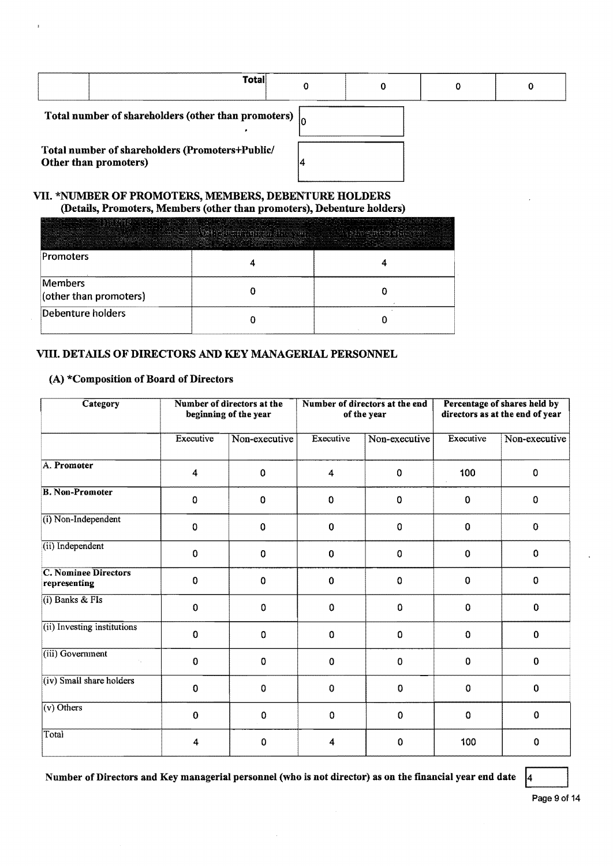| Total                                                           |  |  |
|-----------------------------------------------------------------|--|--|
| Total number of shareholders (other than promoters) $\vert_{0}$ |  |  |

Total number of shareholders (Promoters+Public/<br>Other than promoters) 4 Other than promoters)



#### VII. \*NUMBER OF PROMOTERS, MEMBERS, DEBENTURE HOLDERS (Details, Promoters, Members (other than promoters), Debenture holders)

| the three control of the angeles or more separate the the control increased the control of the second and the three cases of the control of the control of the control of the control of the control of the control of the con<br>management and constitution of the the Center Country of the completed and the country states and successfully and the contract of the constitution of the constitution of the constitution of the constitution of the constit<br>the commission and continued advertised increased as series | enes militarratives empel r≓eleas alumnamient armamentum energy empere en a se executiv<br>infine. Applied of infine prisons and the March March Communities and all all and an ell and an any and addressing the star of the second<br>ALCOHOL PARK TATLETING AND ALCOHOLIC DISTURBING TO PARK IN THE ARCHITECTURE CONTRACTOR OF A REPORTED IN THE RESERVE AND INTEREST | the process and compared the companies and companies are the second and companies<br>The company's and a series there are not have a contract to a company of the<br>$\label{eq:constr} \text{Var}(x,y) = \text{Var}(x,y) + \text{Var}(x,y) + \text{Var}(x,y) + \text{Var}(x,y) + \text{Var}(x,y) + \text{Var}(x,y) + \text{Var}(x,y) + \text{Var}(x,y) + \text{Var}(x,y) + \text{Var}(x,y) + \text{Var}(x,y) + \text{Var}(x,y) + \text{Var}(x,y) + \text{Var}(x,y) + \text{Var}(x,y) + \text{Var}(x,y) + \text{Var}(x,y) + \text{Var}(x,y) + \text{Var}(x,y) + \text{Var}(x,y) + \text{Var}(x,y) + \text{Var}(x,y) + \text{Var}($<br>and an above and an accountable in an above an an any antique in the contract of the house of the bostonic and any community in the community of the community of any and the contract of the contract of the second contract<br>инировности политичным исследования индивидентации показаны при принятом последования и просто принятом состояние просто просто просто просто просто просто просто просто просто просто просто просто просто просто просто пр |
|---------------------------------------------------------------------------------------------------------------------------------------------------------------------------------------------------------------------------------------------------------------------------------------------------------------------------------------------------------------------------------------------------------------------------------------------------------------------------------------------------------------------------------|--------------------------------------------------------------------------------------------------------------------------------------------------------------------------------------------------------------------------------------------------------------------------------------------------------------------------------------------------------------------------|------------------------------------------------------------------------------------------------------------------------------------------------------------------------------------------------------------------------------------------------------------------------------------------------------------------------------------------------------------------------------------------------------------------------------------------------------------------------------------------------------------------------------------------------------------------------------------------------------------------------------------------------------------------------------------------------------------------------------------------------------------------------------------------------------------------------------------------------------------------------------------------------------------------------------------------------------------------------------------------------------------------------------------------------------------------------------------------------------|
| the state of the state of the state of the state of the state of the state of the state of the state of the state of the state of the state of the state of the state of the state of the state of the state of the state of t<br>Promoters                                                                                                                                                                                                                                                                                     |                                                                                                                                                                                                                                                                                                                                                                          |                                                                                                                                                                                                                                                                                                                                                                                                                                                                                                                                                                                                                                                                                                                                                                                                                                                                                                                                                                                                                                                                                                      |
| Members<br>(other than promoters)                                                                                                                                                                                                                                                                                                                                                                                                                                                                                               |                                                                                                                                                                                                                                                                                                                                                                          |                                                                                                                                                                                                                                                                                                                                                                                                                                                                                                                                                                                                                                                                                                                                                                                                                                                                                                                                                                                                                                                                                                      |
| Debenture holders                                                                                                                                                                                                                                                                                                                                                                                                                                                                                                               |                                                                                                                                                                                                                                                                                                                                                                          |                                                                                                                                                                                                                                                                                                                                                                                                                                                                                                                                                                                                                                                                                                                                                                                                                                                                                                                                                                                                                                                                                                      |

#### VIII. DETAILS OF DIRECTORS AND KEY MANAGERIAL PERSONNEL

#### (A) \*Composition of Board of Directors

| Category                                    | Number of directors at the<br>beginning of the year |               | Number of directors at the end<br>of the year |               | Percentage of shares held by<br>directors as at the end of year |               |
|---------------------------------------------|-----------------------------------------------------|---------------|-----------------------------------------------|---------------|-----------------------------------------------------------------|---------------|
|                                             | Executive                                           | Non-executive | Executive                                     | Non-executive | Executive                                                       | Non-executive |
| A. Promoter                                 | $\overline{\mathbf{4}}$                             | $\mathbf 0$   | $\overline{\mathbf{4}}$                       | $\mathbf 0$   | 100                                                             | 0             |
| <b>B. Non-Promoter</b>                      | 0                                                   | 0             | 0                                             | 0             | 0                                                               | 0             |
| (i) Non-Independent                         | $\Omega$                                            | 0             | $\Omega$                                      | $\mathbf 0$   | 0                                                               | $\Omega$      |
| (ii) Independent                            | $\mathbf 0$                                         | 0             | $\mathbf 0$                                   | $\mathbf 0$   | 0                                                               | 0             |
| <b>C. Nominee Directors</b><br>representing | $\mathbf 0$                                         | 0             | 0                                             | $\bf{0}$      | 0                                                               | $\Omega$      |
| $(i)$ Banks & FIs                           | $\mathbf 0$                                         | $\pmb{0}$     | 0                                             | 0             | 0                                                               | $\Omega$      |
| (ii) Investing institutions                 | 0                                                   | $\Omega$      | $\Omega$                                      | $\Omega$      | 0                                                               | 0             |
| (iii) Government                            | 0                                                   | $\mathbf 0$   | 0                                             | $\mathbf 0$   | 0                                                               | 0             |
| (iv) Small share holders                    | $\Omega$                                            | 0             | $\Omega$                                      | $\mathbf 0$   | 0                                                               | 0             |
| $(v)$ Others                                | $\theta$                                            | 0             | 0                                             | $\Omega$      | 0                                                               | $\mathbf 0$   |
| Total                                       | 4                                                   | 0             | 4                                             | 0             | 100                                                             | 0             |

Number of Directors and Key managerial personnel (who is not director) as on the financial year end date  $|4|$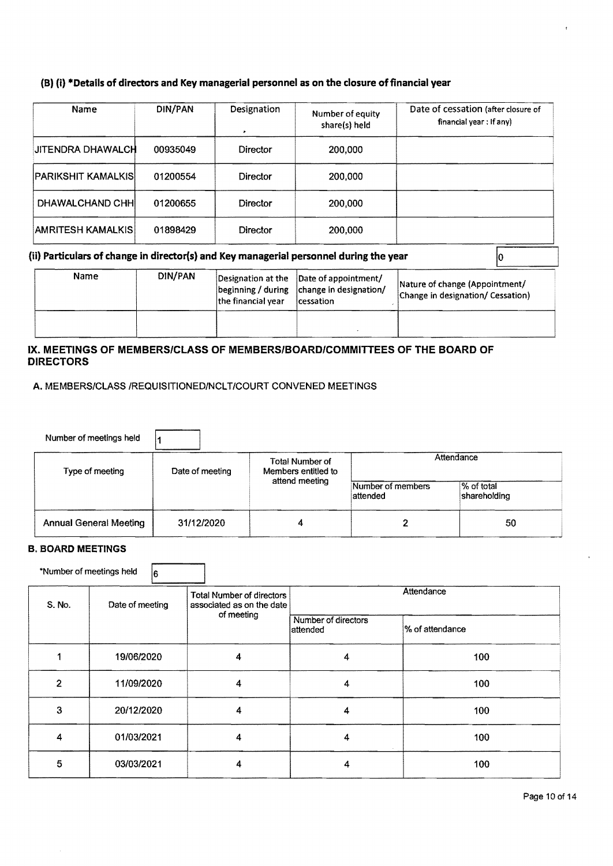#### (S) {i} "'Details of directors and Key managerial personnel as on the closure offinancial year

| Name                      | DIN/PAN  | Designation     | Number of equity<br>share(s) held | Date of cessation (after closure of<br>financial year: If any) |
|---------------------------|----------|-----------------|-----------------------------------|----------------------------------------------------------------|
| JITENDRA DHAWALCH         | 00935049 | Director        | 200,000                           |                                                                |
| <b>PARIKSHIT KAMALKIS</b> | 01200554 | <b>Director</b> | 200,000                           |                                                                |
| DHAWALCHAND CHHI          | 01200655 | Director        | 200.000                           |                                                                |
| <b>AMRITESH KAMALKIS</b>  | 01898429 | <b>Director</b> | 200.000                           |                                                                |

#### (ii) Particulars of change in director(s) and Key managerial personnel during the year

| Name | DIN/PAN | the financial vear | Designation at the Date of appointment/<br>beginning / during   change in designation/<br>cessation | Nature of change (Appointment/<br>Change in designation/ Cessation) |
|------|---------|--------------------|-----------------------------------------------------------------------------------------------------|---------------------------------------------------------------------|
|      |         |                    |                                                                                                     |                                                                     |

#### IX. MEETINGS OF MEMBERS/CLASS OF MEMBERS/BOARD/COMMITTEES OF THE BOARD OF DIRECTORS

A. MEMBERS/CLASS /REQUISITIONED/NCLT/COURT CONVENED MEETINGS

| Number of meetings held       |                 |                                        |                               |                            |  |
|-------------------------------|-----------------|----------------------------------------|-------------------------------|----------------------------|--|
| Type of meeting               | Date of meeting | Total Number of<br>Members entitled to | Attendance                    |                            |  |
|                               |                 | attend meeting                         | Number of members<br>attended | % of total<br>shareholding |  |
| <b>Annual General Meeting</b> | 31/12/2020      | 4                                      |                               | 50                         |  |

#### B. BOARD MEETINGS

'Number of meetings held 1  $\vert_{6}$ 

| S. No.         | Date of meeting | <b>Total Number of directors</b><br>associated as on the date | Attendance                      |                 |  |
|----------------|-----------------|---------------------------------------------------------------|---------------------------------|-----------------|--|
|                |                 | of meeting                                                    | Number of directors<br>attended | % of attendance |  |
|                | 19/06/2020      | 4                                                             | 4                               | 100             |  |
| $\overline{2}$ | 11/09/2020      | 4                                                             | 4                               | 100             |  |
| 3              | 20/12/2020      | 4                                                             | 4                               | 100             |  |
| 4              | 01/03/2021      | 4                                                             | 4                               | 100             |  |
| 5              | 03/03/2021      | 4                                                             | 4                               | 100             |  |

 $\sqrt{0}$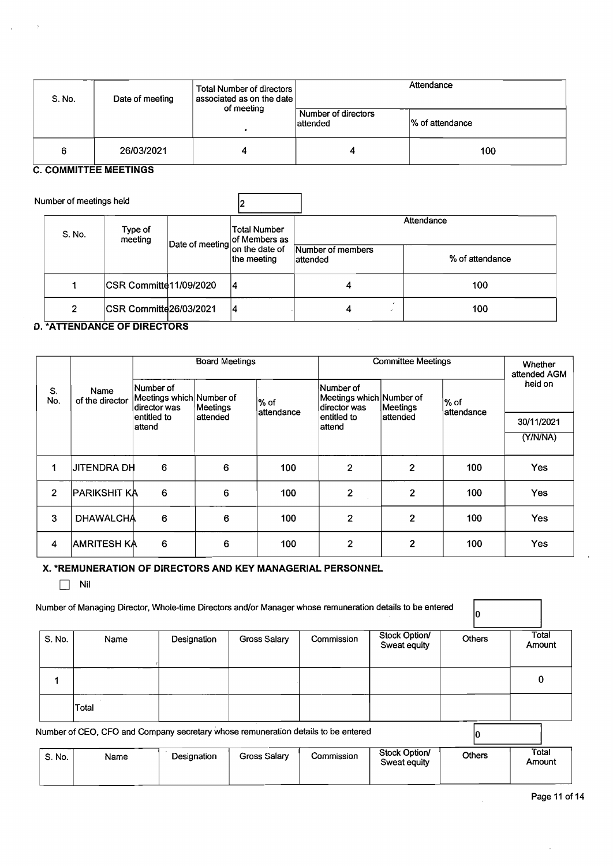| S. No. | Date of meeting | Total Number of directors<br>associated as on the date | Attendance                       |                 |  |
|--------|-----------------|--------------------------------------------------------|----------------------------------|-----------------|--|
|        |                 | of meeting                                             | Number of directors<br>lattended | % of attendance |  |
| 6      | 26/03/2021      |                                                        |                                  | 100             |  |

#### C. **COMMITTEE MEETINGS**

| Number of meetings held |                                |             |                               |                 |     |  |
|-------------------------|--------------------------------|-------------|-------------------------------|-----------------|-----|--|
| S. No.                  | Type of<br>meeting             |             | Total Number<br>of Members as | Attendance      |     |  |
|                         | Date of meeting on the date of | the meeting | Number of members<br>attended | % of attendance |     |  |
|                         | CSR Committe 11/09/2020        |             | 14                            | 4               | 100 |  |
| 2                       | ICSR Committe26/03/2021        |             | 14                            | 4               | 100 |  |

#### D. **\*ATTENDANCE OF DIRECTORS**

|                |                         | <b>Board Meetings</b>                                 |          |                     | <b>Committee Meetings</b>                             |                |                      | Whether<br>attended AGM |
|----------------|-------------------------|-------------------------------------------------------|----------|---------------------|-------------------------------------------------------|----------------|----------------------|-------------------------|
| S.<br>No.      | Name<br>of the director | Number of<br>Meetings which Number of<br>director was | Meetings | l% of<br>attendance | Wumber of<br>Meetings which Number of<br>director was | Meetings       | l% of<br>lattendance | held on                 |
|                |                         | entitled to<br>attend                                 | attended |                     | entitled to<br>attend                                 | attended       |                      | 30/11/2021              |
|                |                         |                                                       |          |                     |                                                       |                |                      | (Y/N/NA)                |
|                |                         |                                                       |          |                     |                                                       |                |                      |                         |
| 1              | <b>JITENDRA DH</b>      | 6                                                     | 6        | 100                 | $\overline{2}$                                        | 2              | 100                  | Yes                     |
| $\overline{2}$ | PARIKSHIT KA            | 6                                                     | 6        | 100                 | $\mathbf{2}$                                          | 2              | 100                  | Yes                     |
| 3              | <b>DHAWALCHA</b>        | 6                                                     | 6        | 100                 | $\overline{2}$                                        | $\overline{2}$ | 100                  | Yes                     |
| 4              | <b>AMRITESH KA</b>      | 6                                                     | 6        | 100                 | $\overline{2}$                                        | $\overline{2}$ | 100                  | Yes                     |

#### x. **\*REMUNERATION OF DIRECTORS AND KEY MANAGERIAL PERSONNEL**

|  | ×<br>× |
|--|--------|
|--|--------|

| S. No. | Name         | Designation                                                                       | Gross Salary | Commission | Stock Option/<br>Sweat equity | <b>Others</b> | Total<br>Amount |
|--------|--------------|-----------------------------------------------------------------------------------|--------------|------------|-------------------------------|---------------|-----------------|
|        |              |                                                                                   |              |            |                               |               | 0               |
|        | <b>Total</b> |                                                                                   |              |            |                               |               |                 |
|        |              | Number of CEO, CFO and Company secretary whose remuneration details to be entered |              |            |                               |               |                 |
| S. No. | Name         | Designation                                                                       | Gross Salary | Commission | Stock Option/<br>Sweat equity | <b>Others</b> | Total<br>Amount |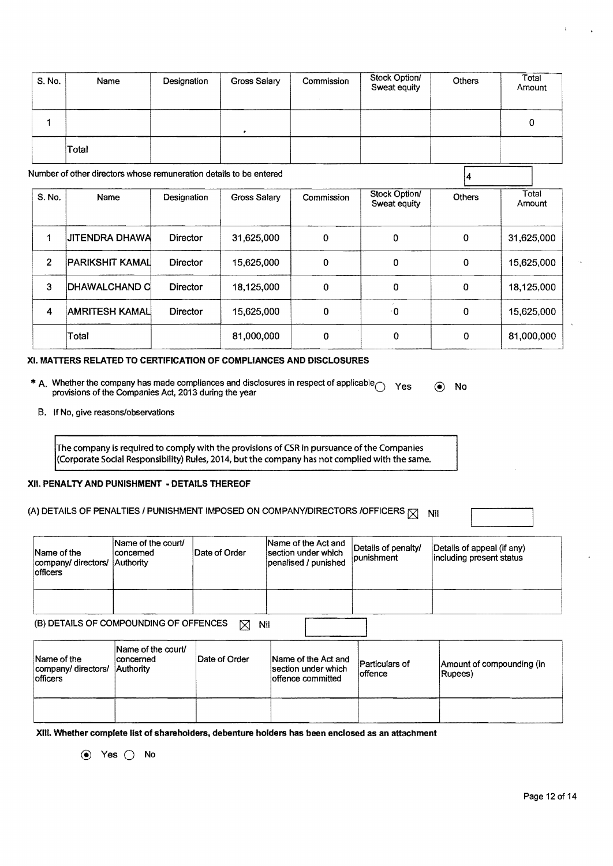| S. No.         | Name                                                               | Designation | <b>Gross Salary</b> | Commission | Stock Option/<br>Sweat equity | Others      | Total<br>Amount |
|----------------|--------------------------------------------------------------------|-------------|---------------------|------------|-------------------------------|-------------|-----------------|
| 1              |                                                                    |             | ٠                   |            |                               |             | 0               |
|                | Total                                                              |             |                     |            |                               |             |                 |
|                | Number of other directors whose remuneration details to be entered |             |                     |            |                               |             |                 |
| S. No.         | Name                                                               | Designation | Gross Salary        | Commission | Stock Option/<br>Sweat equity | Others      | Total<br>Amount |
| 1              | <b>JITENDRA DHAWA</b>                                              | Director    | 31,625,000          | 0          | 0                             | $\Omega$    | 31,625,000      |
| $\overline{2}$ | PARIKSHIT KAMAL                                                    | Director    | 15,625,000          | 0          | 0                             | $\mathbf 0$ | 15,625,000      |
| 3              | <b>DHAWALCHAND C</b>                                               | Director    | 18,125,000          | 0          | 0                             | $\mathbf 0$ | 18,125,000      |
| 4              | <b>AMRITESH KAMAL</b>                                              | Director    | 15,625,000          | 0          | $\cdot$ 0                     | $\mathbf 0$ | 15,625,000      |
|                | Total                                                              |             | 81,000,000          | 0          | 0                             | $\mathbf 0$ | 81,000,000      |

#### XI. MATTERS RELATED TO CERTIFICATION OF COMPLIANCES AND DISCLOSURES

- \* A. Whether the company has made compliances and disclosures in respect of applicable  $\bigcirc$  Yes  $\bigcirc$  No provisions of the Companies Act, 2013 during the year
	- B. If No, give reasons/observations

The company is required to comply with the provisions of CSR in pursuance of the Companies (Corporate Social Responsibility) Rules, 2014, but the company has not complied with the same.

#### XII. PENALTY AND PUNISHMENT - DETAILS THEREOF

# (A) DETAILS OF PENALTIES / PUNISHMENT IMPOSED ON COMPANY/DIRECTORS /OFFICERS  $\boxtimes$  Nil

| Name of the<br>company/ directors/<br><b>officers</b> | Name of the court/<br>concemed<br>Authority  | Date of Order | Name of the Act and<br>section under which<br>penalised / punished | Details of penalty/<br>punishment | Details of appeal (if any)<br>including present status |
|-------------------------------------------------------|----------------------------------------------|---------------|--------------------------------------------------------------------|-----------------------------------|--------------------------------------------------------|
|                                                       | (B) DETAILS OF COMPOUNDING OF OFFENCES       | ⊠<br>Nil      |                                                                    |                                   |                                                        |
| Name of the<br>company/ directors/<br>officers        | Name of the court/<br>concerned<br>Authority | Date of Order | Name of the Act and<br>section under which<br>loffence committed   | Particulars of<br>loffence        | Amount of compounding (in<br>Rupees)                   |
|                                                       |                                              |               |                                                                    |                                   |                                                        |

XIII. Whether complete list of shareholders, debenture holders has been enclosed as an attachment

@ Yes 0 No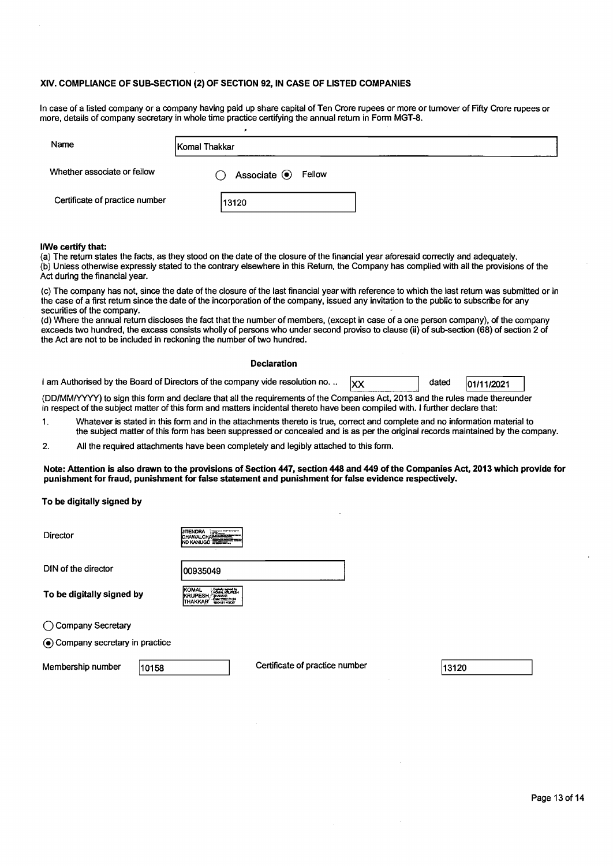#### XIV. COMPLIANCE OF SUB-SECTION (2) OF SECTION 92, IN CASE OF LISTED COMPANIES

In case of a listed company or a company having paid up share capital of Ten Crore rupees or more or tumover of Fifty Crore rupees or more, details of company secretary in whole time practice certifying the annual retum in Form MGT-8.

| Name                           | Komal Thakkar                      |  |
|--------------------------------|------------------------------------|--|
| Whether associate or fellow    | Associate <sup>O</sup> Fellow<br>0 |  |
| Certificate of practice number | 13120                              |  |

#### I/We certify that:

(a) The retum states the facts, as they stood on the date of the closure of the financial year aforesaid correctly and adequately. (b) Unless otherwise expressly stated to the contrary elsewhere in this Return, the Company has complied with all the provisions of the Act during the financial year.

(c) The company has not, since the date of the closure of the last financial year with reference to which the last retum was submitted or in the case of a first retum since the date of the incorporation of the company, issued any invitation to the public to subscribe for any securities of the company.

(d) Where the annual return discloses the fact that the number of members, (except in case of a one person company), of the company exceeds two hundred, the excess consists wholly of persons who under second proviso to clause (ii) of sub-section (68) of section 2 of the Act are not to be included in reckoning the number of two hundred.

#### Declaration

| I am Authorised by the Board of Directors of the company vide resolution no | dated | 01/11/2021 |  |
|-----------------------------------------------------------------------------|-------|------------|--|
|                                                                             |       |            |  |

(DD/MM/yyyy) to sign this form and declare that all the requirements of the Companies Act, 2013 and the rules made thereunder in respect of the subject matter of this form and matters incidental thereto have been compiled with. I further declare that:

- 1. Whatever is stated in this form and in the attachments thereto is true, correct and complete and no information material to the subject matter of this form has been suppressed or concealed and is as per the original records maintained by the company.
- 2. All the required attachments have been completely and legibly attached to this form.

Note: Attention is also drawn to the provisions of Section 447, section 448 and 449 of the Companies Act, 2013 which provide for punishment for fraud, punishment for false statement and punishment for false evidence respectively.

To be digitally signed by

| Director                        | <b>JITENDRA</b><br>第二<br><b>DHAWALCHALL</b><br>ND KANUGO <del>ELETIKI</del>                                          |
|---------------------------------|----------------------------------------------------------------------------------------------------------------------|
| DIN of the director             | 00935049                                                                                                             |
| To be digitally signed by       | <b>IKOMAL</b><br>Digitally signed by<br>KOMAL IGRUPERH<br><b>KRUPESH</b><br>THAKKAR<br>-2022.01.24<br><b>THAKKAR</b> |
| Company Secretary               |                                                                                                                      |
| • Company secretary in practice |                                                                                                                      |
|                                 |                                                                                                                      |

Membership number 10158 Certificate of practice number

13120